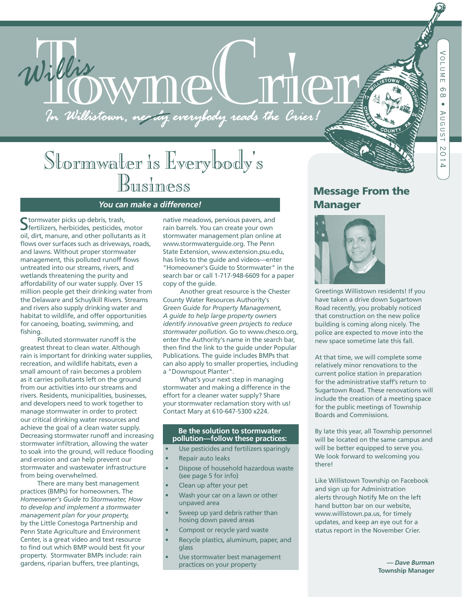# Willis WMM CLIMAN

# Stormwater is Everybody's<br>Business

# Business *You can make a difference!*

Stormwater picks up debris, trash,<br>Sfertilizers, herbicides, pesticides, motor oil, dirt, manure, and other pollutants as it flows over surfaces such as driveways, roads, and lawns. Without proper stormwater management, this polluted runoff flows untreated into our streams, rivers, and wetlands threatening the purity and affordability of our water supply. Over 15 million people get their drinking water from the Delaware and Schuylkill Rivers. Streams and rivers also supply drinking water and habitat to wildlife, and offer opportunities for canoeing, boating, swimming, and fishing.

 Polluted stormwater runoff is the greatest threat to clean water. Although rain is important for drinking water supplies, recreation, and wildlife habitats, even a small amount of rain becomes a problem as it carries pollutants left on the ground from our activities into our streams and rivers. Residents, municipalities, businesses, and developers need to work together to manage stormwater in order to protect our critical drinking water resources and achieve the goal of a clean water supply. Decreasing stormwater runoff and increasing stormwater infiltration, allowing the water to soak into the ground, will reduce flooding and erosion and can help prevent our stormwater and wastewater infrastructure from being overwhelmed.

 There are many best management practices (BMPs) for homeowners. The *Homeowner's Guide to Stormwater, How to develop and implement a stormwater management plan for your property,*  by the Little Conestoga Partnership and Penn State Agriculture and Environment Center, is a great video and text resource to find out which BMP would best fit your property. Stormwater BMPs include: rain gardens, riparian buffers, tree plantings,

native meadows, pervious pavers, and rain barrels. You can create your own stormwater management plan online at www.stormwaterguide.org. The Penn State Extension, www.extension.psu.edu, has links to the guide and videos—enter "Homeowner's Guide to Stormwater" in the search bar or call 1-717-948-6609 for a paper copy of the guide.

 Another great resource is the Chester County Water Resources Authority's *Green Guide for Property Management, A guide to help large property owners identify innovative green projects to reduce stormwater pollution.* Go to www.chesco.org, enter the Authority's name in the search bar, then find the link to the guide under Popular Publications. The guide includes BMPs that can also apply to smaller properties, including a "Downspout Planter".

 What's your next step in managing stormwater and making a difference in the effort for a cleaner water supply? Share your stormwater reclamation story with us! Contact Mary at 610-647-5300 x224.

#### **Be the solution to stormwater pollution—follow these practices:**

- Use pesticides and fertilizers sparingly
- Repair auto leaks
- Dispose of household hazardous waste (see page 5 for info)
- Clean up after your pet
- Wash your car on a lawn or other unpaved area
- Sweep up yard debris rather than hosing down paved areas
- Compost or recycle yard waste
- Recycle plastics, aluminum, paper, and glass
- Use stormwater best management practices on your property

## Message From the Manager



Greetings Willistown residents! If you have taken a drive down Sugartown Road recently, you probably noticed that construction on the new police building is coming along nicely. The police are expected to move into the new space sometime late this fall.

At that time, we will complete some relatively minor renovations to the current police station in preparation for the administrative staff's return to Sugartown Road. These renovations will include the creation of a meeting space for the public meetings of Township Boards and Commissions.

By late this year, all Township personnel will be located on the same campus and will be better equipped to serve you. We look forward to welcoming you there!

Like Willistown Township on Facebook and sign up for Administration alerts through Notify Me on the left hand button bar on our website, www.willistown.pa.us, for timely updates, and keep an eye out for a status report in the November Crier.

> *— Dave Burman*  **Township Manager**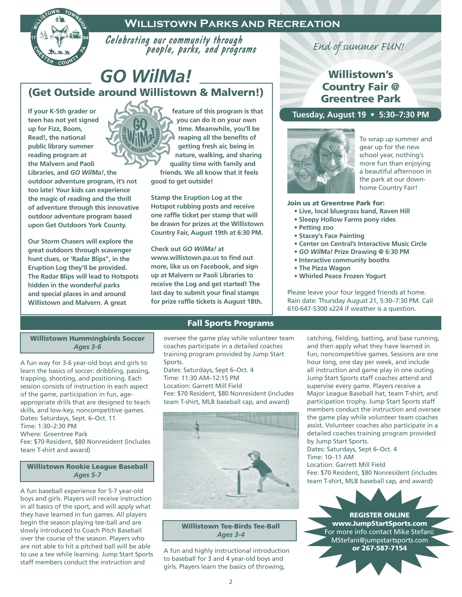## **Willistown Parks and Recreation**



Celebrating our community through people, parks, and programs

# *GO WilMa!* (Get Outside around Willistown & Malvern!)

**If your K-5th grader or teen has not yet signed up for Fizz, Boom, Read!, the national public library summer reading program at the Malvern and Paoli Libraries, and** *GO WilMa!***,the outdoor adventure program, it's not too late! Your kids can experience the magic of reading and the thrill of adventure through this innovative outdoor adventure program based upon Get Outdoors York County.** 

**Our Storm Chasers will explore the great outdoors through scavenger hunt clues, or 'Radar Blips", in the Eruption Log they'll be provided. The Radar Blips will lead to Hotspots hidden in the wonderful parks and special places in and around Willistown and Malvern. A great** 



**feature of this program is that you can do it on your own time. Meanwhile, you'll be reaping all the benefits of getting fresh air, being in nature, walking, and sharing quality time with family and friends. We all know that it feels good to get outside!**

**Stamp the Eruption Log at the Hotspot rubbing posts and receive one raffle ticket per stamp that will be drawn for prizes at the Willistown Country Fair, August 19th at 6:30 PM.** 

**Check out** *GO WilMa!* **at www.willistown.pa.us to find out more, like us on Facebook, and sign up at Malvern or Paoli Libraries to receive the Log and get started! The last day to submit your final stamps for prize raffle tickets is August 18th.** 

# *End of summer FUN!*

## Willistown's Country Fair @ Greentree Park

**Tuesday, August 19 • 5:30–7:30 PM**



To wrap up summer and gear up for the new school year, nothing's more fun than enjoying a beautiful afternoon in the park at our downhome Country Fair!

#### Join us at Greentree Park for:

- **Live, local bluegrass band, Raven Hill**
- **Sleepy Hollow Farms pony rides**
- **Petting zoo**
- **Stacey's Face Painting**
- **Center on Central's Interactive Music Circle**
- *GO WilMa!* **Prize Drawing @ 6:30 PM**
- **Interactive community booths**
- **The Pizza Wagon**
- **Whirled Peace Frozen Yogurt**

Please leave your four legged friends at home. Rain date: Thursday August 21, 5:30–7:30 PM. Call 610-647-5300 x224 if weather is a question.

#### Willistown Hummingbirds Soccer *Ages 3-6*

A fun way for 3-6 year-old boys and girls to learn the basics of soccer: dribbling, passing, trapping, shooting, and positioning. Each session consists of instruction in each aspect of the game, participation in fun, ageappropriate drills that are designed to teach skills, and low-key, noncompetitive games. Dates: Saturdays, Sept. 6–Oct. 11 Time: 1:30–2:30 PM Where: Greentree Park Fee: \$70 Resident, \$80 Nonresident (includes team T-shirt and award)

#### Willistown Rookie League Baseball *Ages 5-7*

A fun baseball experience for 5-7 year-old boys and girls. Players will receive instruction in all basics of the sport, and will apply what they have learned in fun games. All players begin the season playing tee-ball and are slowly introduced to Coach Pitch Baseball over the course of the season. Players who are not able to hit a pitched ball will be able to use a tee while learning. Jump Start Sports staff members conduct the instruction and

#### Fall Sports Programs

oversee the game play while volunteer team coaches participate in a detailed coaches training program provided by Jump Start Sports. Dates: Saturdays, Sept 6–Oct. 4

Time: 11:30 AM–12:15 PM Location: Garrett Mill Field Fee: \$70 Resident, \$80 Nonresident (includes team T-shirt, MLB baseball cap, and award)



Willistown Tee-Birds Tee-Ball *Ages 3-4*

A fun and highly instructional introduction to baseball for 3 and 4 year-old boys and girls. Players learn the basics of throwing,

catching, fielding, batting, and base running, and then apply what they have learned in fun, noncompetitive games. Sessions are one hour long, one day per week, and include all instruction and game play in one outing. Jump Start Sports staff coaches attend and supervise every game. Players receive a Major League Baseball hat, team T-shirt, and participation trophy. Jump Start Sports staff members conduct the instruction and oversee the game play while volunteer team coaches assist. Volunteer coaches also participate in a detailed coaches training program provided by Jump Start Sports.

Dates: Saturdays, Sept 6–Oct. 4 Time: 10–11 AM Location: Garrett Mill Field Fee: \$70 Resident, \$80 Nonresident (includes team T-shirt, MLB baseball cap, and award)

REGISTER ONLINE www.JumpStartSports.com For more info contact Mike Stefani: MStefani@jumpstartsports.com or 267-587-7154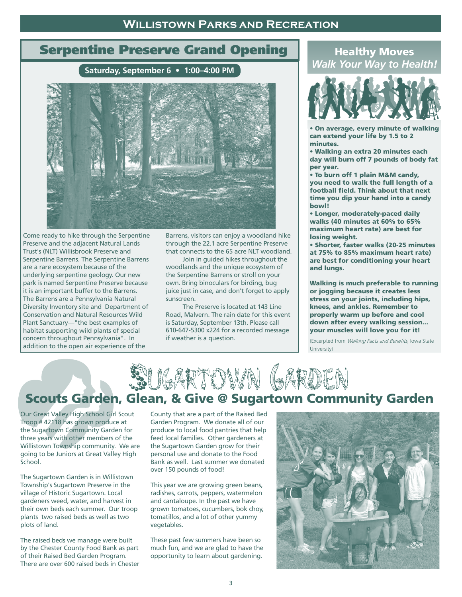#### **Willistown Parks and Recreation**

# Serpentine Preserve Grand Opening

**Saturday, September 6 • 1:00–4:00 PM**



Come ready to hike through the Serpentine Preserve and the adjacent Natural Lands Trust's (NLT) Willisbrook Preserve and Serpentine Barrens. The Serpentine Barrens are a rare ecosystem because of the underlying serpentine geology. Our new park is named Serpentine Preserve because it is an important buffer to the Barrens. The Barrens are a Pennsylvania Natural Diversity Inventory site and Department of Conservation and Natural Resources Wild Plant Sanctuary—"the best examples of habitat supporting wild plants of special concern throughout Pennsylvania". In addition to the open air experience of the

Barrens, visitors can enjoy a woodland hike through the 22.1 acre Serpentine Preserve that connects to the 65 acre NLT woodland.

 Join in guided hikes throughout the woodlands and the unique ecosystem of the Serpentine Barrens or stroll on your own. Bring binoculars for birding, bug juice just in case, and don't forget to apply sunscreen.

 The Preserve is located at 143 Line Road, Malvern. The rain date for this event is Saturday, September 13th. Please call 610-647-5300 x224 for a recorded message if weather is a question.

### Healthy Moves *Walk Your Way to Health!*



• On average, every minute of walking can extend your life by 1.5 to 2 minutes.

• Walking an extra 20 minutes each day will burn off 7 pounds of body fat per year.

• To burn off 1 plain M&M candy, you need to walk the full length of a football field. Think about that next time you dip your hand into a candy bowl!

• Longer, moderately-paced daily walks (40 minutes at 60% to 65% maximum heart rate) are best for losing weight.

• Shorter, faster walks (20-25 minutes at 75% to 85% maximum heart rate) are best for conditioning your heart and lungs.

Walking is much preferable to running or jogging because it creates less stress on your joints, including hips, knees, and ankles. Remember to properly warm up before and cool down after every walking session... your muscles will love you for it!

(Excerpted from Walking Facts and Benefits, Iowa State University)



Our Great Valley High School Girl Scout Troop # 42118 has grown produce at the Sugartown Community Garden for three years with other members of the Willistown Township community. We are going to be Juniors at Great Valley High School.

The Sugartown Garden is in Willistown Township's Sugartown Preserve in the village of Historic Sugartown. Local gardeners weed, water, and harvest in their own beds each summer. Our troop plants two raised beds as well as two plots of land.

The raised beds we manage were built by the Chester County Food Bank as part of their Raised Bed Garden Program. There are over 600 raised beds in Chester

County that are a part of the Raised Bed Garden Program. We donate all of our produce to local food pantries that help feed local families. Other gardeners at the Sugartown Garden grow for their personal use and donate to the Food Bank as well. Last summer we donated over 150 pounds of food!

This year we are growing green beans, radishes, carrots, peppers, watermelon and cantaloupe. In the past we have grown tomatoes, cucumbers, bok choy, tomatillos, and a lot of other yummy vegetables.

These past few summers have been so much fun, and we are glad to have the opportunity to learn about gardening.

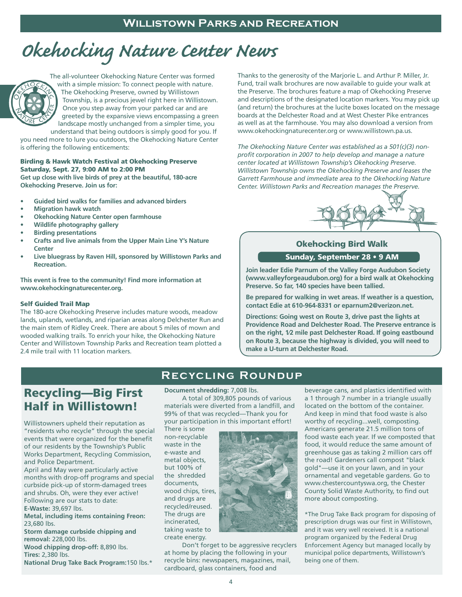# *Okehocking Nature Center News*



The all-volunteer Okehocking Nature Center was formed with a simple mission: To connect people with nature. The Okehocking Preserve, owned by Willistown Township, is a precious jewel right here in Willistown. Once you step away from your parked car and are greeted by the expansive views encompassing a green landscape mostly unchanged from a simpler time, you

understand that being outdoors is simply good for you. If you need more to lure you outdoors, the Okehocking Nature Center is offering the following enticements:

#### Birding & Hawk Watch Festival at Okehocking Preserve Saturday, Sept. 27, 9:00 AM to 2:00 PM

**Get up close with live birds of prey at the beautiful, 180-acre Okehocking Preserve. Join us for:**

- **• Guided bird walks for families and advanced birders**
- **• Migration hawk watch**
- **• Okehocking Nature Center open farmhouse**
- **• Wildlife photography gallery**
- **• Birding presentations**
- **• Crafts and live animals from the Upper Main Line Y's Nature Center**
- **• Live bluegrass by Raven Hill, sponsored by Willistown Parks and Recreation.**

**This event is free to the community! Find more information at www.okehockingnaturecenter.org.**

#### Self Guided Trail Map

The 180-acre Okehocking Preserve includes mature woods, meadow lands, uplands, wetlands, and riparian areas along Delchester Run and the main stem of Ridley Creek. There are about 5 miles of mown and wooded walking trails. To enrich your hike, the Okehocking Nature Center and Willistown Township Parks and Recreation team plotted a 2.4 mile trail with 11 location markers.

Thanks to the generosity of the Marjorie L. and Arthur P. Miller, Jr. Fund, trail walk brochures are now available to guide your walk at the Preserve. The brochures feature a map of Okehocking Preserve and descriptions of the designated location markers. You may pick up (and return) the brochures at the lucite boxes located on the message boards at the Delchester Road and at West Chester Pike entrances as well as at the farmhouse. You may also download a version from www.okehockingnaturecenter.org or www.willistown.pa.us.

*The Okehocking Nature Center was established as a 501(c)(3) nonprofit corporation in 2007 to help develop and manage a nature center located at Willistown Township's Okehocking Preserve. Willistown Township owns the Okehocking Preserve and leases the Garrett Farmhouse and immediate area to the Okehocking Nature Center. Willistown Parks and Recreation manages the Preserve.*



#### Okehocking Bird Walk

#### Sunday, September 28 • 9 AM

**Join leader Edie Parnum of the Valley Forge Audubon Society (www.valleyforgeaudubon.org) for a bird walk at Okehocking Preserve. So far, 140 species have been tallied.** 

**Be prepared for walking in wet areas. If weather is a question, contact Edie at 610-964-8331 or eparnum2@verizon.net.**

**Directions: Going west on Route 3, drive past the lights at Providence Road and Delchester Road. The Preserve entrance is on the right, 1⁄2 mile past Delchester Road. If going eastbound on Route 3, because the highway is divided, you will need to make a U-turn at Delchester Road.**

## Recycling—Big First Half in Willistown!

Willistowners upheld their reputation as "residents who recycle" through the special events that were organized for the benefit of our residents by the Township's Public Works Department, Recycling Commission, and Police Department.

April and May were particularly active months with drop-off programs and special curbside pick-up of storm-damaged trees and shrubs. Oh, were they ever active! Following are our stats to date:

**E-Waste:** 39,697 lbs.

**Metal, including items containing Freon:**  23,680 lbs.

**Storm damage curbside chipping and removal:** 228,000 lbs.

**Wood chipping drop-off:** 8,890 lbs. **Tires:** 2,380 lbs.

**National Drug Take Back Program:**150 lbs.\*

**Document shredding:** 7,008 lbs.

 A total of 309,805 pounds of various materials were diverted from a landfill, and 99% of that was recycled—Thank you for your participation in this important effort!

**Recycling Roundup**

There is some non-recyclable waste in the e-waste and metal objects, but 100% of the shredded documents, wood chips, tires, and drugs are recycled/reused. The drugs are incinerated, taking waste to create energy.



 Don't forget to be aggressive recyclers at home by placing the following in your recycle bins: newspapers, magazines, mail, cardboard, glass containers, food and

beverage cans, and plastics identified with a 1 through 7 number in a triangle usually located on the bottom of the container. And keep in mind that food waste is also worthy of recycling...well, composting. Americans generate 21.5 million tons of food waste each year. If we composted that food, it would reduce the same amount of greenhouse gas as taking 2 million cars off the road! Gardeners call compost "black gold"—use it on your lawn, and in your ornamental and vegetable gardens. Go to www.chestercountyswa.org, the Chester County Solid Waste Authority, to find out more about composting.

\*The Drug Take Back program for disposing of prescription drugs was our first in Willistown, and it was very well received. It is a national program organized by the Federal Drug Enforcement Agency but managed locally by municipal police departments, Willistown's being one of them.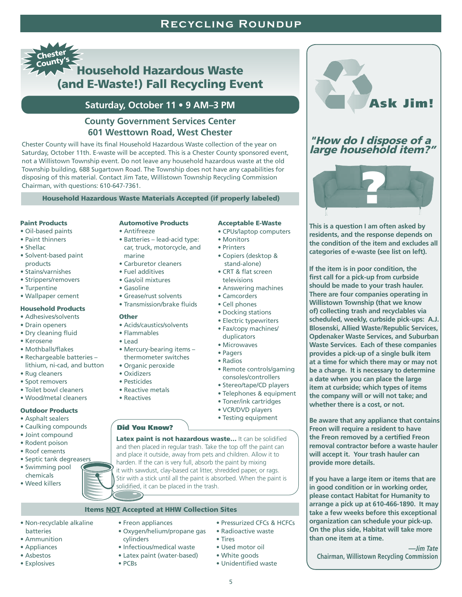## **Recycling Roundup**



#### **Saturday, October 11 • 9 AM–3 PM**

#### **County Government Services Center 601 Westtown Road, West Chester**

Chester County will have its final Household Hazardous Waste collection of the year on Saturday, October 11th. E-waste will be accepted. This is a Chester County sponsored event, not a Willistown Township event. Do not leave any household hazardous waste at the old Township building, 688 Sugartown Road. The Township does not have any capabilities for disposing of this material. Contact Jim Tate, Willistown Township Recycling Commission Chairman, with questions: 610-647-7361.

#### Household Hazardous Waste Materials Accepted (if properly labeled)

#### Paint Products

- Oil-based paints
- Paint thinners
- Shellac
- Solvent-based paint products
- Stains/varnishes
- Strippers/removers
- Turpentine
- Wallpaper cement

#### Household Products

- Adhesives/solvents
- Drain openers
- Dry cleaning fluid
- Kerosene
- Mothballs/flakes
- Rechargeable batteries lithium, ni-cad, and button
- Rug cleaners
- Spot removers
- Toilet bowl cleaners
- Wood/metal cleaners

#### Outdoor Products

- Asphalt sealers
- 
- 
- 
- 
- Swimming pool
- chemicals
- 

#### Automotive Products

- Antifreeze
- Batteries lead-acid type:
- 
- Carburetor cleaners
- Fuel additives
- Gas/oil mixtures
- Gasoline
- Grease/rust solvents
- 

- 
- 
- 
- 
- Oxidizers
- Pesticides
- Reactive metals
- Reactives
- 

- Caulking compounds
- Joint compound
- Rodent poison
- Roof cements
- Septic tank degreasers
- 
- Weed killers
- car, truck, motorcycle, and marine
- 
- 
- 
- Transmission/brake fluids

#### **Other**

- Acids/caustics/solvents
- Flammables
- Lead
- Mercury-bearing items thermometer switches
- Organic peroxide
- 
- 
- 
- 
- 

#### Did You Know?

Latex paint is not hazardous waste... It can be solidified and then placed in regular trash. Take the top off the paint can and place it outside, away from pets and children. Allow it to harden. If the can is very full, absorb the paint by mixing it with sawdust, clay-based cat litter, shredded paper, or rags. Stir with a stick until all the paint is absorbed. When the paint is solidified, it can be placed in the trash.

5

• Used motor oil • White goods • Unidentified waste

• Tires

#### Items NOT Accepted at HHW Collection Sites

- Non-recyclable alkaline
- batteries • Ammunition
- Appliances
- Asbestos
- Explosives
- Oxygen/helium/propane gas cylinders
- Infectious/medical waste
- Latex paint (water-based)
- PCBs

• Freon appliances

Acceptable E-Waste

Ask Jim!

"How do I dispose of a large household item?"

?

**This is a question I am often asked by residents, and the response depends on the condition of the item and excludes all categories of e-waste (see list on left).** 

**If the item is in poor condition, the first call for a pick-up from curbside should be made to your trash hauler. There are four companies operating in Willistown Township (that we know of) collecting trash and recyclables via scheduled, weekly, curbside pick-ups: A.J. Blosenski, Allied Waste/Republic Services, Opdenaker Waste Services, and Suburban Waste Services. Each of these companies provides a pick-up of a single bulk item at a time for which there may or may not be a charge. It is necessary to determine a date when you can place the large item at curbside; which types of items the company will or will not take; and whether there is a cost, or not.** 

**Be aware that any appliance that contains Freon will require a resident to have the Freon removed by a certified Freon removal contractor before a waste hauler will accept it. Your trash hauler can** 

**If you have a large item or items that are in good condition or in working order, please contact Habitat for Humanity to arrange a pick up at 610-466-1890. It may take a few weeks before this exceptional organization can schedule your pick-up. On the plus side, Habitat will take more** 

**Chairman, Willistown Recycling Commission** 

**—***Jim Tate*

**provide more details.**

**than one item at a time.**

- CPUs/laptop computers
- Monitors
- Printers
- Copiers (desktop & stand-alone)
- CRT & flat screen televisions

• Cell phones • Docking stations • Electric typewriters • Fax/copy machines/ duplicators • Microwaves • Pagers • Radios

- Answering machines
- Camcorders

• Remote controls/gaming consoles/controllers • Stereo/tape/CD players • Telephones & equipment • Toner/ink cartridges • VCR/DVD players • Testing equipment

• Pressurized CFCs & HCFCs • Radioactive waste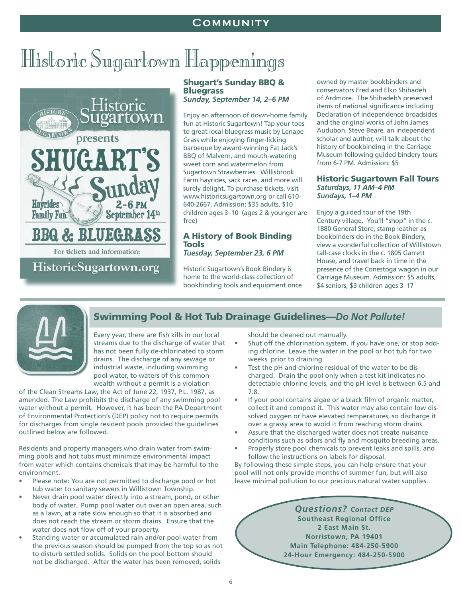#### **Community**

# Historic Sugartown Happenings



**HistoricSugartown.org** 

#### Shugart's Sunday BBQ & **Bluegrass**

*Sunday, September 14, 2–6 PM*

Enjoy an afternoon of down-home family fun at Historic Sugartown! Tap your toes to great local bluegrass music by Lenape Grass while enjoying finger-licking barbeque by award-winning Fat Jack's BBQ of Malvern, and mouth-watering sweet corn and watermelon from Sugartown Strawberries. Willisbrook Farm hayrides, sack races, and more will surely delight. To purchase tickets, visit www.historicsugartown.org or call 610- 640-2667. Admission: \$35 adults, \$10 children ages 3–10 (ages 2 & younger are free)

#### A History of Book Binding **Tools** *Tuesday, September 23, 6 PM*

Historic Sugartown's Book Bindery is home to the world-class collection of bookbinding tools and equipment once

owned by master bookbinders and conservators Fred and Elko Shihadeh of Ardmore. The Shihadeh's preserved items of national significance including Declaration of Independence broadsides and the original works of John James Audubon. Steve Beare, an independent scholar and author, will talk about the history of bookbinding in the Carriage Museum following guided bindery tours from 6-7 PM. Admission: \$5

#### Historic Sugartown Fall Tours *Saturdays, 11 AM–4 PM Sundays, 1–4 PM*

Enjoy a guided tour of the 19th Century village. You'll "shop" in the c. 1880 General Store, stamp leather as bookbinders do in the Book Bindery, view a wonderful collection of Willistown tall-case clocks in the c. 1805 Garrett House, and travel back in time in the presence of the Conestoga wagon in our Carriage Museum. Admission: \$5 adults, \$4 seniors, \$3 children ages 3–17



## Swimming Pool & Hot Tub Drainage Guidelines—*Do Not Pollute!*

Every year, there are fish kills in our local streams due to the discharge of water that has not been fully de-chlorinated to storm drains. The discharge of any sewage or industrial waste, including swimming pool water, to waters of this commonwealth without a permit is a violation

of the Clean Streams Law, the Act of June 22, 1937, P.L. 1987, as amended. The Law prohibits the discharge of any swimming pool water without a permit. However, it has been the PA Department of Environmental Protection's (DEP) policy not to require permits for discharges from single resident pools provided the guidelines outlined below are followed.

Residents and property managers who drain water from swimming pools and hot tubs must minimize environmental impact from water which contains chemicals that may be harmful to the environment.

- Please note: You are not permitted to discharge pool or hot tub water to sanitary sewers in Willistown Township.
- Never drain pool water directly into a stream, pond, or other body of water. Pump pool water out over an open area, such as a lawn, at a rate slow enough so that it is absorbed and does not reach the stream or storm drains. Ensure that the water does not flow off of your property.
- Standing water or accumulated rain and/or pool water from the previous season should be pumped from the top so as not to disturb settled solids. Solids on the pool bottom should not be discharged. After the water has been removed, solids

should be cleaned out manually.

- Shut off the chlorination system, if you have one, or stop adding chlorine. Leave the water in the pool or hot tub for two weeks prior to draining.
- Test the pH and chlorine residual of the water to be discharged. Drain the pool only when a test kit indicates no detectable chlorine levels, and the pH level is between 6.5 and 7.8.
- If your pool contains algae or a black film of organic matter, collect it and compost it. This water may also contain low dissolved oxygen or have elevated temperatures, so discharge it over a grassy area to avoid it from reaching storm drains.
- Assure that the discharged water does not create nuisance conditions such as odors and fly and mosquito breeding areas.
- Properly store pool chemicals to prevent leaks and spills, and follow the instructions on labels for disposal.

By following these simple steps, you can help ensure that your pool will not only provide months of summer fun, but will also leave minimal pollution to our precious natural water supplies.

> *Questions? Contact DEP* **Southeast Regional Office 2 East Main St. Norristown, PA 19401 Main Telephone: 484-250-5900 24-Hour Emergency: 484-250-5900**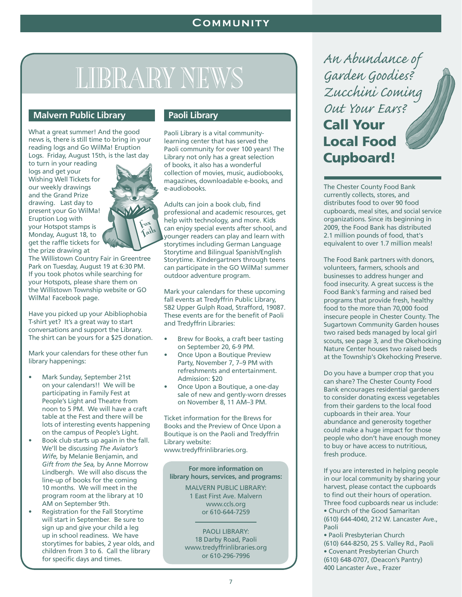# LIBRARY NEWS

#### **Malvern Public Library**

What a great summer! And the good news is, there is still time to bring in your reading logs and Go WilMa! Eruption Logs. Friday, August 15th, is the last day

to turn in your reading logs and get your Wishing Well Tickets for our weekly drawings and the Grand Prize drawing. Last day to present your Go WilMa! Eruption Log with your Hotspot stamps is Monday, August 18, to get the raffle tickets for the prize drawing at



The Willistown Country Fair in Greentree Park on Tuesday, August 19 at 6:30 PM. If you took photos while searching for your Hotspots, please share them on the Willistown Township website or GO WilMa! Facebook page.

Have you picked up your Abibliophobia T-shirt yet? It's a great way to start conversations and support the Library. The shirt can be yours for a \$25 donation.

Mark your calendars for these other fun library happenings:

- Mark Sunday, September 21st on your calendars!! We will be participating in Family Fest at People's Light and Theatre from noon to 5 PM. We will have a craft table at the Fest and there will be lots of interesting events happening on the campus of People's Light.
- Book club starts up again in the fall. We'll be discussing *The Aviator's Wife,* by Melanie Benjamin, and *Gift from the Sea,* by Anne Morrow Lindbergh. We will also discuss the line-up of books for the coming 10 months. We will meet in the program room at the library at 10 AM on September 9th.
- Registration for the Fall Storytime will start in September. Be sure to sign up and give your child a leg up in school readiness. We have storytimes for babies, 2 year olds, and children from 3 to 6. Call the library for specific days and times.

#### **Paoli Library**

Paoli Library is a vital communitylearning center that has served the Paoli community for over 100 years! The Library not only has a great selection of books, it also has a wonderful collection of movies, music, audiobooks, magazines, downloadable e-books, and e-audiobooks.

Adults can join a book club, find professional and academic resources, get help with technology, and more. Kids can enjoy special events after school, and younger readers can play and learn with storytimes including German Language Storytime and Bilingual Spanish/English Storytime. Kindergartners through teens can participate in the GO WilMa! summer outdoor adventure program.

Mark your calendars for these upcoming fall events at Tredyffrin Public Library, 582 Upper Gulph Road, Strafford, 19087. These events are for the benefit of Paoli and Tredyffrin Libraries:

- Brew for Books, a craft beer tasting on September 20, 6-9 PM.
- Once Upon a Boutique Preview Party, November 7, 7–9 PM with refreshments and entertainment. Admission: \$20
- Once Upon a Boutique, a one-day sale of new and gently-worn dresses on November 8, 11 AM–3 PM.

Ticket information for the Brews for Books and the Preview of Once Upon a Boutique is on the Paoli and Tredyffrin Library website:

www.tredyffrinlibraries.org.

**For more information on library hours, services, and programs:**

> MALVERN PUBLIC LIBRARY: 1 East First Ave. Malvern www.ccls.org or 610-644-7259

PAOLI LIBRARY: 18 Darby Road, Paoli www.tredyffrinlibraries.org or 610-296-7996

*An Abundance of Garden Goodies? Zucchini Coming Out Your Ears?*  Call Your Local Food Cupboard!

The Chester County Food Bank currently collects, stores, and distributes food to over 90 food cupboards, meal sites, and social service organizations. Since its beginning in 2009, the Food Bank has distributed 2.1 million pounds of food, that's equivalent to over 1.7 million meals!

The Food Bank partners with donors, volunteers, farmers, schools and businesses to address hunger and food insecurity. A great success is the Food Bank's farming and raised bed programs that provide fresh, healthy food to the more than 70,000 food insecure people in Chester County. The Sugartown Community Garden houses two raised beds managed by local girl scouts, see page 3, and the Okehocking Nature Center houses two raised beds at the Township's Okehocking Preserve.

Do you have a bumper crop that you can share? The Chester County Food Bank encourages residential gardeners to consider donating excess vegetables from their gardens to the local food cupboards in their area. Your abundance and generosity together could make a huge impact for those people who don't have enough money to buy or have access to nutritious, fresh produce.

If you are interested in helping people in our local community by sharing your harvest, please contact the cupboards to find out their hours of operation. Three food cupboards near us include: • Church of the Good Samaritan (610) 644-4040, 212 W. Lancaster Ave., Paoli

• Paoli Presbyterian Church (610) 644-8250, 25 S. Valley Rd., Paoli • Covenant Presbyterian Church (610) 648-0707, (Deacon's Pantry) 400 Lancaster Ave., Frazer